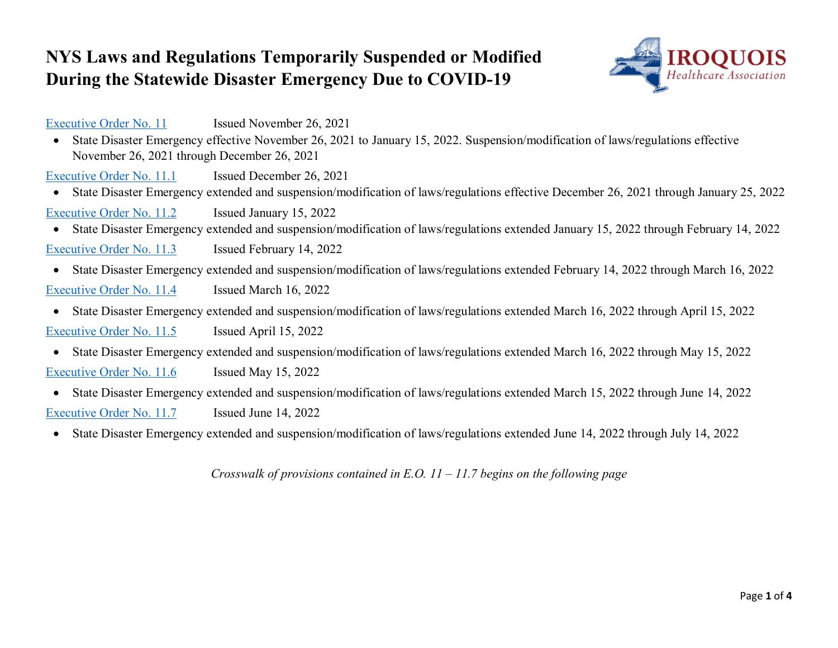## **NYS Laws and Regulations Temporarily Suspended or Modified During the Statewide Disaster Emergency Due to COVID-19**



[Executive Order No. 11](https://www.governor.ny.gov/executive-order/no-11-declaring-disaster-emergency-state-new-york) Issued November 26, 2021

• State Disaster Emergency effective November 26, 2021 to January 15, 2022. Suspension/modification of laws/regulations effective November 26, 2021 through December 26, 2021

[Executive Order No. 11.1](https://www.governor.ny.gov/executive-order/no-111-declaring-disaster-emergency-state-new-york) Issued December 26, 2021

• State Disaster Emergency extended and suspension/modification of laws/regulations effective December 26, 2021 through January 25, 2022

[Executive Order No. 11.2](https://www.governor.ny.gov/executive-order/no-112-declaring-disaster-emergency-state-new-york) Issued January 15, 2022

- State Disaster Emergency extended and suspension/modification of laws/regulations extended January 15, 2022 through February 14, 2022 [Executive Order No. 11.3](https://www.governor.ny.gov/executive-order/no-113-declaring-disaster-emergency-state-new-york) Issued February 14, 2022
- State Disaster Emergency extended and suspension/modification of laws/regulations extended February 14, 2022 through March 16, 2022 [Executive Order No. 11.4](https://www.governor.ny.gov/executive-order/no-114-declaring-disaster-emergency-state-new-york) Issued March 16, 2022
- State Disaster Emergency extended and suspension/modification of laws/regulations extended March 16, 2022 through April 15, 2022 [Executive Order No. 11.5](https://www.governor.ny.gov/executive-order/no-115-declaring-disaster-emergency-state-new-york) Issued April 15, 2022
- State Disaster Emergency extended and suspension/modification of laws/regulations extended March 16, 2022 through May 15, 2022 [Executive Order No. 11.6](https://www.governor.ny.gov/executive-order/no-116-declaring-disaster-emergency-state-new-york) Issued May 15, 2022
- State Disaster Emergency extended and suspension/modification of laws/regulations extended March 15, 2022 through June 14, 2022 [Executive Order No. 11.7](https://www.governor.ny.gov/executive-order/no-117-declaring-disaster-emergency-state-new-york) Issued June 14, 2022
- State Disaster Emergency extended and suspension/modification of laws/regulations extended June 14, 2022 through July 14, 2022

*Crosswalk of provisions contained in E.O. 11 – 11.7 begins on the following page*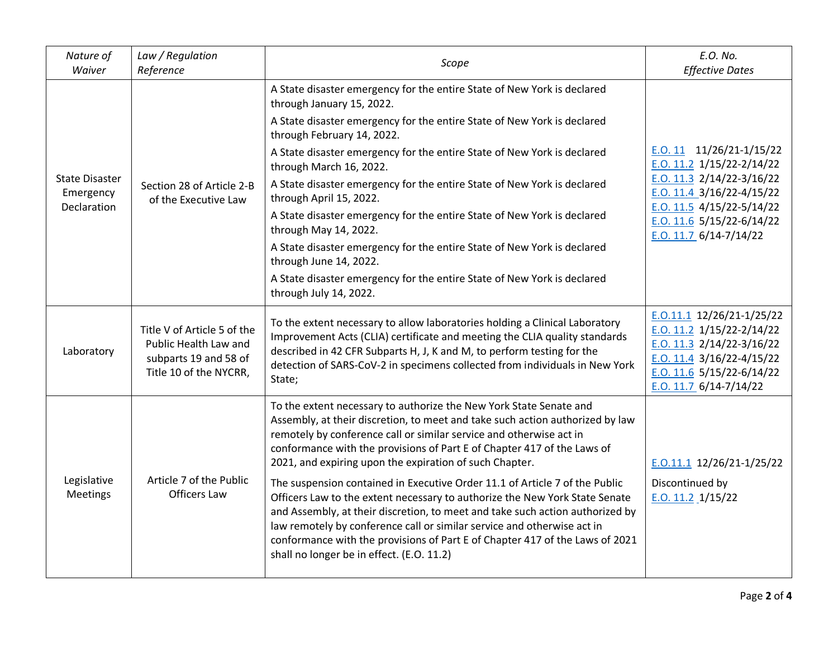| Nature of<br>Waiver                               | Law / Regulation<br>Reference                                                                           | Scope                                                                                                                                                                                                                                                                                                                                                                                                                                               | E.O. No.<br><b>Effective Dates</b>                                                                                                                                                                                      |
|---------------------------------------------------|---------------------------------------------------------------------------------------------------------|-----------------------------------------------------------------------------------------------------------------------------------------------------------------------------------------------------------------------------------------------------------------------------------------------------------------------------------------------------------------------------------------------------------------------------------------------------|-------------------------------------------------------------------------------------------------------------------------------------------------------------------------------------------------------------------------|
| <b>State Disaster</b><br>Emergency<br>Declaration | Section 28 of Article 2-B<br>of the Executive Law                                                       | A State disaster emergency for the entire State of New York is declared<br>through January 15, 2022.                                                                                                                                                                                                                                                                                                                                                |                                                                                                                                                                                                                         |
|                                                   |                                                                                                         | A State disaster emergency for the entire State of New York is declared<br>through February 14, 2022.                                                                                                                                                                                                                                                                                                                                               |                                                                                                                                                                                                                         |
|                                                   |                                                                                                         | A State disaster emergency for the entire State of New York is declared<br>through March 16, 2022.                                                                                                                                                                                                                                                                                                                                                  | E.O. 11 $11/26/21-1/15/22$<br>E.O. 11.2 $1/15/22-2/14/22$<br>E.O. $11.3$ 2/14/22-3/16/22<br>$E. O. 11.4 3/16/22 - 4/15/22$<br>E.O. 11.5 $4/15/22 - 5/14/22$<br>$E. O. 11.6$ 5/15/22-6/14/22<br>E.O. 11.7 $6/14-7/14/22$ |
|                                                   |                                                                                                         | A State disaster emergency for the entire State of New York is declared<br>through April 15, 2022.                                                                                                                                                                                                                                                                                                                                                  |                                                                                                                                                                                                                         |
|                                                   |                                                                                                         | A State disaster emergency for the entire State of New York is declared<br>through May 14, 2022.                                                                                                                                                                                                                                                                                                                                                    |                                                                                                                                                                                                                         |
|                                                   |                                                                                                         | A State disaster emergency for the entire State of New York is declared<br>through June 14, 2022.                                                                                                                                                                                                                                                                                                                                                   |                                                                                                                                                                                                                         |
|                                                   |                                                                                                         | A State disaster emergency for the entire State of New York is declared<br>through July 14, 2022.                                                                                                                                                                                                                                                                                                                                                   |                                                                                                                                                                                                                         |
| Laboratory                                        | Title V of Article 5 of the<br>Public Health Law and<br>subparts 19 and 58 of<br>Title 10 of the NYCRR, | To the extent necessary to allow laboratories holding a Clinical Laboratory<br>Improvement Acts (CLIA) certificate and meeting the CLIA quality standards<br>described in 42 CFR Subparts H, J, K and M, to perform testing for the<br>detection of SARS-CoV-2 in specimens collected from individuals in New York<br>State;                                                                                                                        | $E. 0.11.1$ 12/26/21-1/25/22<br>E.O. 11.2 $1/15/22-2/14/22$<br>E.O. $11.3$ 2/14/22-3/16/22<br>E.O. 11.4 $3/16/22 - 4/15/22$<br>E.O. $11.6$ 5/15/22-6/14/22<br>$E. O. 11.7 6/14-7/14/22$                                 |
|                                                   |                                                                                                         | To the extent necessary to authorize the New York State Senate and<br>Assembly, at their discretion, to meet and take such action authorized by law<br>remotely by conference call or similar service and otherwise act in<br>conformance with the provisions of Part E of Chapter 417 of the Laws of<br>2021, and expiring upon the expiration of such Chapter.                                                                                    | $E. 0.11.1$ 12/26/21-1/25/22                                                                                                                                                                                            |
| Legislative<br>Meetings                           | Article 7 of the Public<br><b>Officers Law</b>                                                          | The suspension contained in Executive Order 11.1 of Article 7 of the Public<br>Officers Law to the extent necessary to authorize the New York State Senate<br>and Assembly, at their discretion, to meet and take such action authorized by<br>law remotely by conference call or similar service and otherwise act in<br>conformance with the provisions of Part E of Chapter 417 of the Laws of 2021<br>shall no longer be in effect. (E.O. 11.2) | Discontinued by<br>$E.0.11.2$ $1/15/22$                                                                                                                                                                                 |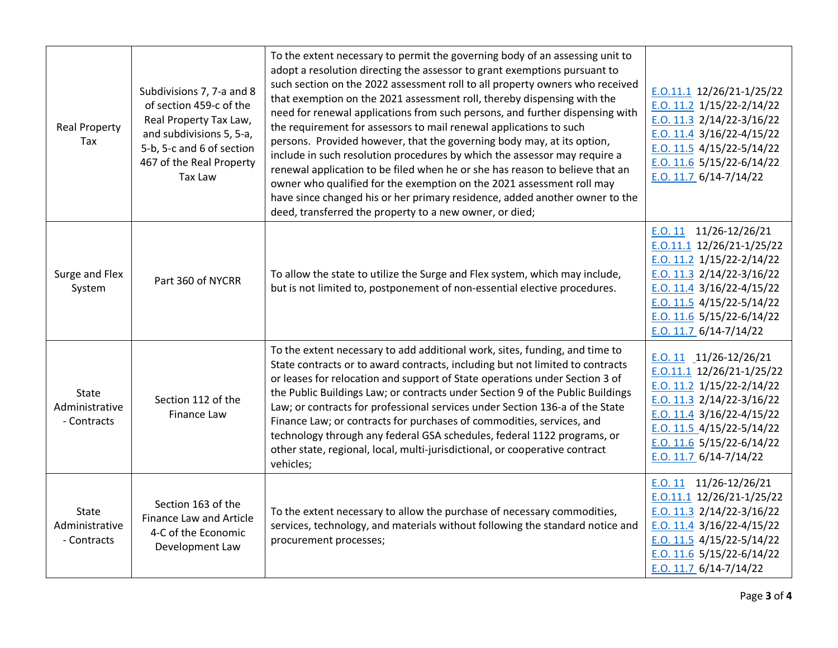| <b>Real Property</b><br>Tax                   | Subdivisions 7, 7-a and 8<br>of section 459-c of the<br>Real Property Tax Law,<br>and subdivisions 5, 5-a,<br>5-b, 5-c and 6 of section<br>467 of the Real Property<br><b>Tax Law</b> | To the extent necessary to permit the governing body of an assessing unit to<br>adopt a resolution directing the assessor to grant exemptions pursuant to<br>such section on the 2022 assessment roll to all property owners who received<br>that exemption on the 2021 assessment roll, thereby dispensing with the<br>need for renewal applications from such persons, and further dispensing with<br>the requirement for assessors to mail renewal applications to such<br>persons. Provided however, that the governing body may, at its option,<br>include in such resolution procedures by which the assessor may require a<br>renewal application to be filed when he or she has reason to believe that an<br>owner who qualified for the exemption on the 2021 assessment roll may<br>have since changed his or her primary residence, added another owner to the<br>deed, transferred the property to a new owner, or died; | $E. 0.11.1$ 12/26/21-1/25/22<br>$E. O. 11.2$ 1/15/22-2/14/22<br>E.O. 11.3 $2/14/22 - 3/16/22$<br>E.O. 11.4 $3/16/22 - 4/15/22$<br>E.O. $11.5$ 4/15/22-5/14/22<br>E.O. 11.6 $5/15/22 - 6/14/22$<br>E.O. 11.7 $6/14-7/14/22$                             |
|-----------------------------------------------|---------------------------------------------------------------------------------------------------------------------------------------------------------------------------------------|--------------------------------------------------------------------------------------------------------------------------------------------------------------------------------------------------------------------------------------------------------------------------------------------------------------------------------------------------------------------------------------------------------------------------------------------------------------------------------------------------------------------------------------------------------------------------------------------------------------------------------------------------------------------------------------------------------------------------------------------------------------------------------------------------------------------------------------------------------------------------------------------------------------------------------------|--------------------------------------------------------------------------------------------------------------------------------------------------------------------------------------------------------------------------------------------------------|
| Surge and Flex<br>System                      | Part 360 of NYCRR                                                                                                                                                                     | To allow the state to utilize the Surge and Flex system, which may include,<br>but is not limited to, postponement of non-essential elective procedures.                                                                                                                                                                                                                                                                                                                                                                                                                                                                                                                                                                                                                                                                                                                                                                             | E.O. 11 $11/26-12/26/21$<br>$E. 0.11.1$ 12/26/21-1/25/22<br>E.O. 11.2 $1/15/22-2/14/22$<br>E.O. 11.3 $2/14/22-3/16/22$<br>E.O. 11.4 $3/16/22 - 4/15/22$<br>E.O. 11.5 $4/15/22 - 5/14/22$<br>E.O. 11.6 $5/15/22 - 6/14/22$<br>$E. O. 11.7 6/14-7/14/22$ |
| State<br>Administrative<br>- Contracts        | Section 112 of the<br>Finance Law                                                                                                                                                     | To the extent necessary to add additional work, sites, funding, and time to<br>State contracts or to award contracts, including but not limited to contracts<br>or leases for relocation and support of State operations under Section 3 of<br>the Public Buildings Law; or contracts under Section 9 of the Public Buildings<br>Law; or contracts for professional services under Section 136-a of the State<br>Finance Law; or contracts for purchases of commodities, services, and<br>technology through any federal GSA schedules, federal 1122 programs, or<br>other state, regional, local, multi-jurisdictional, or cooperative contract<br>vehicles;                                                                                                                                                                                                                                                                        | E.O. 11 $11/26-12/26/21$<br>$E. 0.11.1$ 12/26/21-1/25/22<br>$E. O. 11.2$ 1/15/22-2/14/22<br>E.O. 11.3 $2/14/22-3/16/22$<br>E.O. 11.4 $3/16/22 - 4/15/22$<br>E.O. 11.5 $4/15/22 - 5/14/22$<br>E.O. 11.6 $5/15/22 - 6/14/22$<br>E.O. 11.7 $6/14-7/14/22$ |
| <b>State</b><br>Administrative<br>- Contracts | Section 163 of the<br>Finance Law and Article<br>4-C of the Economic<br>Development Law                                                                                               | To the extent necessary to allow the purchase of necessary commodities,<br>services, technology, and materials without following the standard notice and<br>procurement processes;                                                                                                                                                                                                                                                                                                                                                                                                                                                                                                                                                                                                                                                                                                                                                   | $E.0.11$ 11/26-12/26/21<br>$E. 0.11.1$ 12/26/21-1/25/22<br>E.O. 11.3 $2/14/22 - 3/16/22$<br>E.O. 11.4 $3/16/22 - 4/15/22$<br>E.O. 11.5 $4/15/22 - 5/14/22$<br>E.O. 11.6 $5/15/22 - 6/14/22$<br>E.O. 11.7 $6/14-7/14/22$                                |